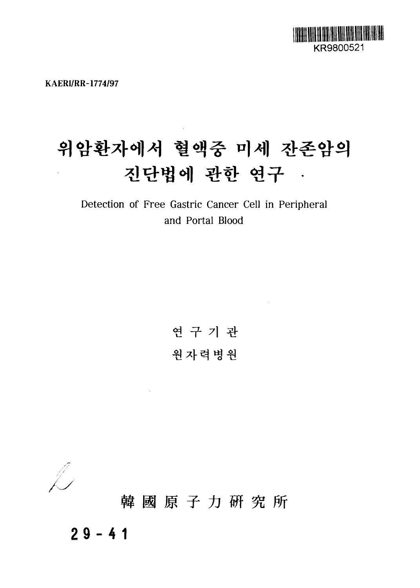

**KAERI/RR-1774/97**

# 위암환자에서 혈액중 미세 잔존암의 진단법에 관한 연구 ·

Detection of Free Gastric Cancer Cell in Peripheral and Portal Blood

> 연 구 기 관 원자력병원

 $\sim 10^7$ 



韓國原子力研究所

**29-4 1**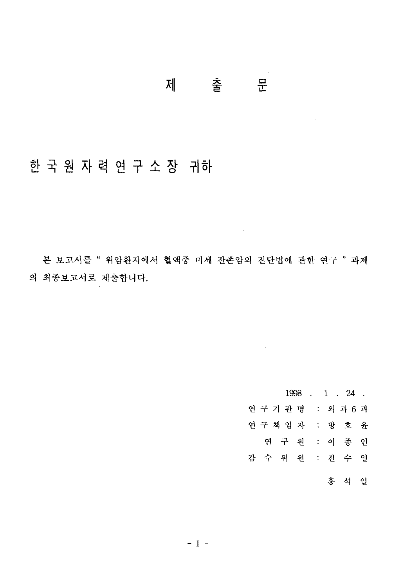#### $\frac{a}{L}$ 제 출

## 한 국 원 자 력 연 구 소 장 귀하

본 보고서를 " 위암환자에서 혈액중 미세 잔존암의 진단법에 관한 연구 " 과제 의 최종보고서로 제출합니다.

 $\mathcal{L}^{\text{max}}_{\text{max}}$  and  $\mathcal{L}^{\text{max}}_{\text{max}}$ 

 $\mathcal{L}^{\text{max}}_{\text{max}}$ 

 $1998$  1 24 연구기관명 : 외과 6 과 연구책임자 : 방호윤 연 구 원 : 이 종 인 감 수 위 원 : 진 수 일 홍 석 일

 $\sim$   $\sim$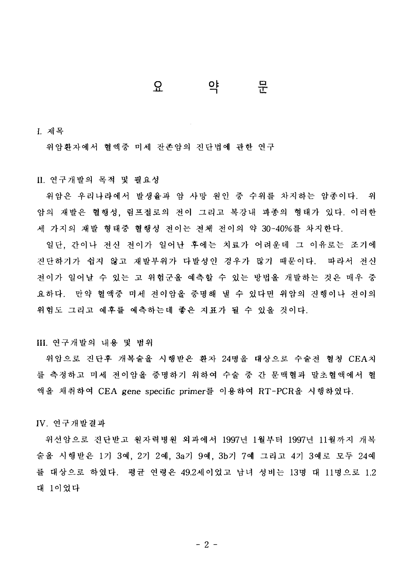#### 뮤 요 으 $\overline{\mathsf{c}}$

I. 제목

위암환자에서 혈액중 미세 잔존암의 진단법에 관한 연구

#### II. 연구개발의 목적 및 필요성

위암은 우리나라에서 발생율과 암 사망 원인 중 수위를 차지하는 암종이다. 위 암의 재발은 혈행성, 림프절로의 전이 그리고 복강내 파종의 형태가 있다. 이러한 세 가지의 재발 형태중 혈행성 전이는 전체 전이의 약 30~40%를 차지한다.

일단, 간이나 전신 전이가 일어난 후에는 치료가 어려운데 그 이유로는 조기에 진단하기가 쉽지 않고 재발부위가 다발성인 경우가 많기 때문이다. 따라서 전신 <u>전이가 일어날 수 있는 고 위험군을 예측할 수 있는 방법을 개발하는 것은 매우 중</u> 요하다. 만약 혈액중 미세 전이암을 중명해 낼 수 있다면 위암의 진행이나 전이의 위험도 그리고 예후를 예측하는데 좋은 지표가 될 수 있을 것이다.

#### **III.** 연구개발의 내용 및 범위

위암으로 진단후 개복술을 시행받은 환자 24명을 대상으로 수술전 혈청 CEA치 를 측정하고 미세 전이암을 중명하기 위하여 수술 중 간 문맥혈과 말초혈액에서 혈 액을 채취하여 CEA gene specific primer를 이용하여 RT-PCR을 시행하였다.

IV. 연구개발결과

위선암으로 진단받고 원자력병원 외과에서 1997년 1월부터 1997년 11월까지 개복 , 2기 2예, 3a기 9예, 3b기 7예 그리고 4기 를 대상으로 하였다. 평균 연령은 49.2세이었고 남녀 성비는 13명 대 11명으로 1.2 대 1이었다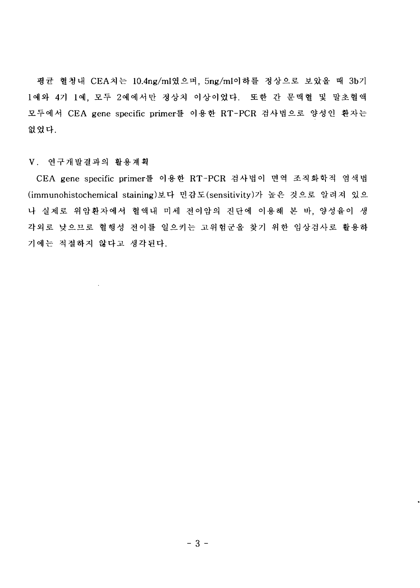평균 혈청내 CEA치는 10.4ng/ml였으며, 5ng/ml이하를 정상으로 보았을 때 3b기 1예와 4기 1예, 모두 2예에서만 정상치 이상이었다. 또한 간 문맥혈 및 말초혈액 모두에서 CEA gene specific primer를 이용한 RT-PCR 검사법으로 양성인 환자는 없었다.

#### V. 연구개발결과의 활용계획

CEA gene specific primer를 이용한 RT-PCR 검사법이 면역 조직화학적 염색법 (immunohistochemical staining)보다 민감도(sensitivity)가 높은 것으로 알려져 있으 나 실제로 위암환자에서 혈액내 미세 전이암의 진단에 이용해 본 바, 양성율이 생 각외로 낮으므로 혈행성 전이를 일으키는 고위험군을 찾기 위한 임상검사로 활용하 기에는 적절하지 않다고 생각된다.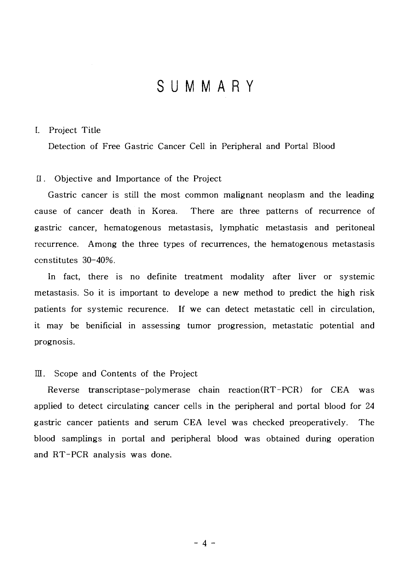### SUMMAR Y

#### I. Project Title

Detection of Free Gastric Cancer Cell in Peripheral and Portal Blood

#### II. Objective and Importance of the Project

Gastric cancer is still the most common malignant neoplasm and the leading cause of cancer death in Korea. There are three patterns of recurrence of gastric cancer, hematogenous metastasis, lymphatic metastasis and peritoneal recurrence. Among the three types of recurrences, the hematogenous metastasis constitutes 30-40%.

In fact, there is no definite treatment modality after liver or systemic metastasis. So it is important to develope a new method to predict the high risk patients for systemic recurence. If we can detect metastatic cell in circulation, it may be benificial in assessing tumor progression, metastatic potential and prognosis.

#### III. Scope and Contents of the Project

Reverse transcriptase-polymerase chain reaction(RT-PCR) for CEA was applied to detect circulating cancer cells in the peripheral and portal blood for 24 gastric cancer patients and serum CEA level was checked preoperatively. The blood samplings in portal and peripheral blood was obtained during operation and RT-PCR analysis was done.

**- 4 -**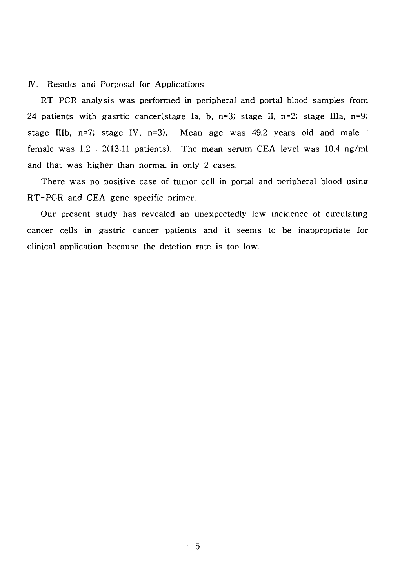#### IV. Results and Porposal for Applications

RT-PCR analysis was performed in peripheral and portal blood samples from 24 patients with gasrtic cancer(stage Ia, b, n=3; stage II, n=2; stage IIIa, n=9; stage IIIb,  $n=7$ ; stage IV,  $n=3$ ). Mean age was 49.2 years old and male : female was 1.2 : 2(13:11 patients). The mean serum CEA level was 10.4 ng/ml and that was higher than normal in only 2 cases.

There was no positive case of tumor cell in portal and peripheral blood using RT-PCR and CEA gene specific primer.

Our present study has revealed an unexpectedly low incidence of circulating cancer cells in gastric cancer patients and it seems to be inappropriate for clinical application because the detetion rate is too low.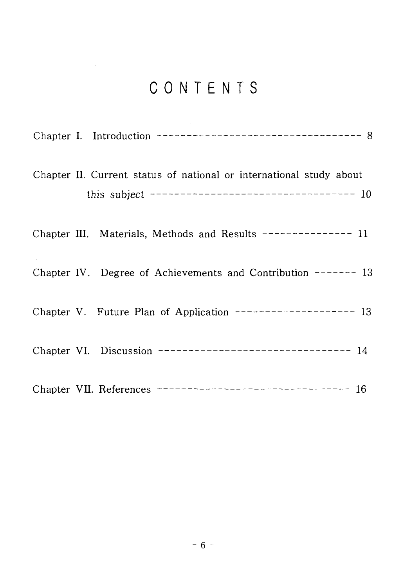## CONTENTS

|  | Chapter I. Introduction ----------------------------------- 8                                                              |
|--|----------------------------------------------------------------------------------------------------------------------------|
|  | Chapter II. Current status of national or international study about<br>this subject ----------------------------------- 10 |
|  | Chapter III. Materials, Methods and Results -------------- 11                                                              |
|  | Chapter IV. Degree of Achievements and Contribution ------- 13                                                             |
|  | Chapter V. Future Plan of Application ------------------- 13                                                               |
|  | Chapter VI. Discussion ---------------------------------- 14                                                               |
|  | Chapter VII. References --------------------------------- 16                                                               |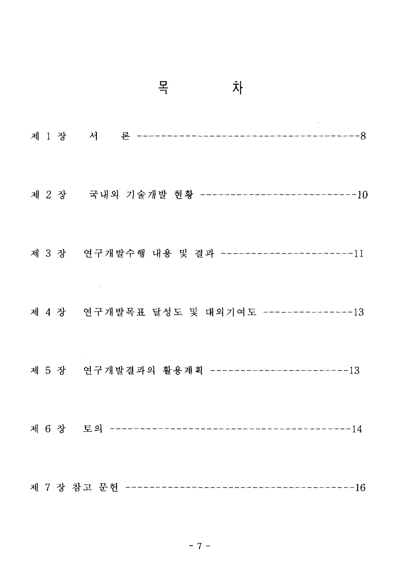|  | 목<br>차                                         |
|--|------------------------------------------------|
|  |                                                |
|  | 제 2 장 국내외 기술개발 현황 --------------------------10 |
|  | 제 3 장 연구개발수행 내용 및 결과 ----------------------11  |
|  | 제 4 장 연구개발목표 달성도 및 대외기여도 --------------13      |
|  | 제 5 장 연구개발결과의 활용계획 -----------------------13   |
|  |                                                |
|  |                                                |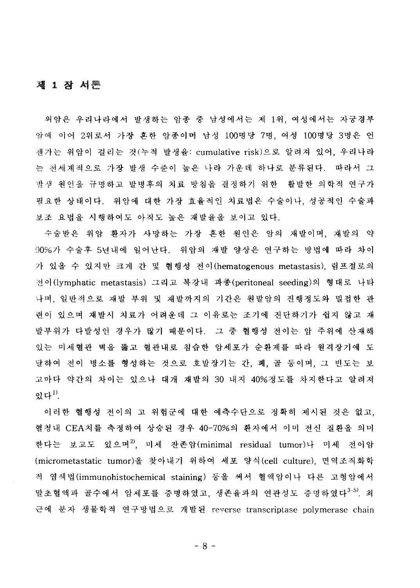#### 제 1 장 서严

위암은 우리나라에서 발생하는 암종 중 남성에서는 제 1위, 여성에서는 자궁경부 암에 이어 2위로서 가장 혼한 암종이며 남성 100명당 7명, 여성 100명당 3명은 언 젠가는 위암이 걸리는 것(누적 발생율: cumulative risk)으로 알려져 있어, 우리나라 는 전세계적으로 가장 발생 수준이 높은 나라 가운데 하나로 분류된다. 따라서 그 발생 원인을 규명하고 발병후의 치료 방침을 결정하기 위한 활발한 의학적 연구가 필요한 상태이다. 위암에 대한 가장 효율적인 치료법은 수술이나, 성공적인 수술과 보조 요법을 시행하여도 아직도 높은 재발율을 보이고 있다.

수술받은 위암 환자가 사망하는 가장 혼한 원인은 암의 재발이며, 재발의 약 90%가 수술후 5년내에 일어난다. 위암의 재발 양상은 연구하는 방법에 따라 차이 가 있을 수 있지만 크게 간 및 혈행성 전이(hematogenous metastasis), 림프절로의 전이(lymphatic metastasis) 그리고 복강내 파종(peritoneal seeding)의 형태로 나타 나며, 일반적으로 재발 부위 및 재발까지의 기간은 원발암의 진행정도와 밀접한 관 련이 있으며 재발시 치료가 어려운데 그 이유로는 조기에 진단하기가 쉽지 않고 재 발부위가 다발성인 경우가 많기 때문이다. 그 중 혈행성 전이는 암 주위에 산재해 있는 미세혈관 벽을 뚫고 혈관내로 침습한 암세포가 순환계를 따라 원격장기에 도 달하여 전이 병소를 형성하는 것으로 호발장기는 간, 폐, 골 둥이며, 그 빈도는 보 고마다 약간의 차이는 있으나 대개 재발의 30 내지 40%정도를 차지한다고 알려져 있다 $"$ .

이러한 혈행성 전이의 고 위험군에 대한 예측수단으로 정확히 제시된 것은 없고, 혈청내 CEA치를 측정하여 상승된 경우 40-70%의 환자에서 이미 전신 질환을 의미 한다는 보고도 있으며<sup>2)</sup>, 미세 잔존암(minimal residual tumor)나 미세 전이암 (micrometastatic tumor)을 찾아내기 위하여 세포 양식(cell culture), 면역조직화학 적 염색법(immunohistochemical staining) 등을 써서 혈액암이나 다른 고형암에서 말초혈액과 골수에서 암세포를 증명하였고, 생존율과의 연관성도 증명하였다<sup>3-5)</sup>. 최 근에 분자 생물학적 연구방법으로 개발된 reverse transcriptase polymerase chain

 $-8-$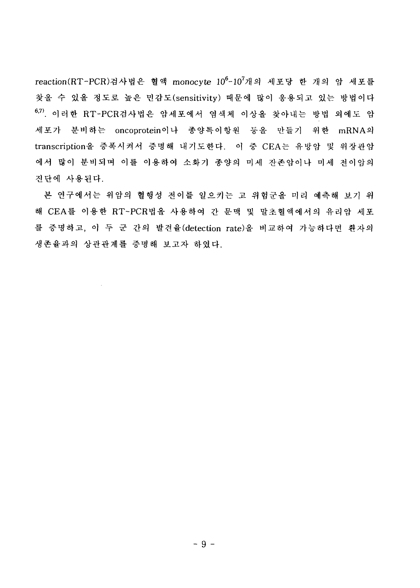reaction(RT-PCR)검사법은 혈액 monocyte 10<sup>6</sup>-10<sup>7</sup>개의 세포당 한 개의 암 세포를 찾을 수 있을 정도로 높은 민감도(sensitivity) 때문에 많이 응용되고 있는 방법이다 6,7). 이러한 RT-PCR검사법은 암세포에서 염색체 이상을 찾아내는 방법 외에도 암 세포가 분비하는 oncoprotein이나 종양특이항원 등을 만들기 위한 mRNA의 transcription을 증폭시켜서 증명해 내기도한다. 이 중 CEA는 유방암 및 위장관암 에서 많이 분비되며 이를 이용하여 소화기 종양의 미세 잔존암이나 미세 전이암의 진단에 사용된다.

본 연구에서는 위암의 혈행성 전이를 일으키는 고 위험군을 미리 예측해 보기 위 해 CEA를 이용한 RT-PCR법을 사용하여 간 문맥 및 말초혈액에서의 유리암 세포 를 증명하고, 이 두 군 간의 발견율(detection rate)을 비교하여 가능하다면 환자의 생존율과의 상관관계를 증명해 보고자 하였다.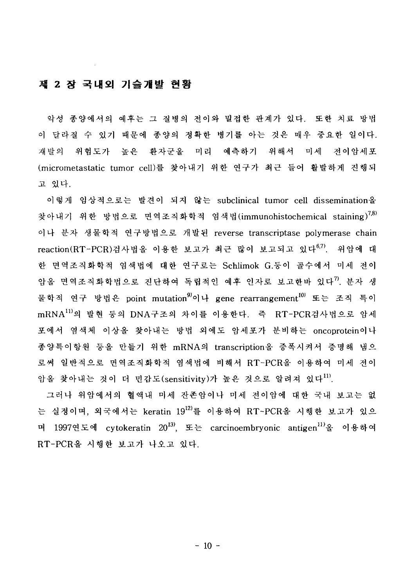#### 제 2 장 국내외 기술개발 현황

악성 종양에서의 예후는 그 질병의 전이와 밀접한 관계가 있다. 또한 치료 방법 이 달라질 수 있기 때문에 종양의 정확한 병기를 아는 것은 매우 중요한 일이다. 재발의 위험도가 높은 환자군을 미리 예측하기 위해서 미세 전이암세포 (micrometastatic tumor cell)를 찾아내기 위한 연구가 최근 들어 활발하게 진행되 고 있다.

이렇게 임상적으로는 발견이 되지 않는 subclinical tumor cell dissemination을 염색법(immunohistochemical staining) $^{7,8)}$ 이나 분자 생물학적 연구방법으로 개발된 reverse transcriptase polymerase chain reaction(RT-PCR)검사법을 이용한 보고가 최근 많이 보고되고 있다<sup>67)</sup>. 위암에 대 한 면역조직화학적 염색법에 대한 연구로는 Schlimok G.등이 골수에서 미세 전이 암올 면역조직화학법으로 진단하여 독립적인 예후 인자로 보고한바 있다<sup>7</sup>. 분자 생 point mutation $^{9)}$ 이나 gene rearrangement $^{10)}$ mRNA<sup>ll)</sup>의 발현 등의 DNA구조의 차이를 이용한다. 즉 RT-PCR검사법으로 암세 포에서 염색체 이상을 찾아내는 방법 외에도 암세포가 분비하는 oncoprotein이나 만들기 위한 mRNA의 transcription을 로써 일반적으로 면역조직화학적 염색법에 비해서 RT-PCR을 이용하여 미세 전이 감도(sensitivity)가 높은 것으로

그러나 위암에서의 혈액내 미세 잔존암이나 미세 전이암에 대한 국내 보고는 없 는 실정이며, 외국에서는 keratin 19<sup>12)</sup>를 이용하여 RT-PCR을 시행한 보고가 있으 cytokeratin 20<sup>13)</sup>, 또는 carcinoembryonic antigen<sup>11)</sup>올 이용하여 RT-PCR을 시행한 보고가 나오고 있다.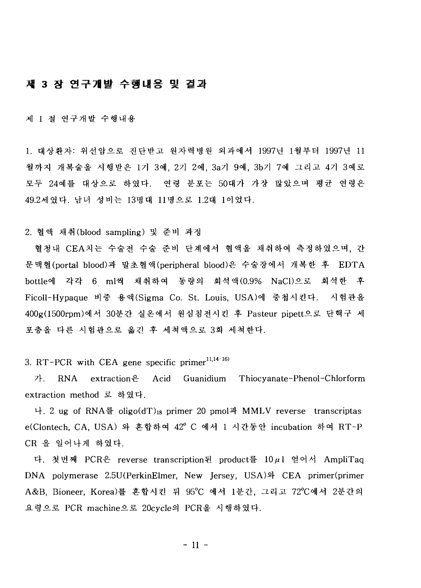#### 제 3 장 연구개발 수행내용 및 결과

제 1 절 연구개발 수행내용

1. 대상화자: 위선암으로 진단받고 원자력병원 외과에서 1997년 1월부터 1997년 11 월까지 개복술을 시행받은 1기 3예, 2기 2예, 3a기 9예, 3b기 7예 그리고 4기 3예로 모두 24예를 대상으로 하였다. 연령 분포는 50대가 가장 많았으며 평균 연령은 49.2세였다. 남녀 성비는 13명대 11명으로 1.2대 1이었다.

2. 혈액 채취 (blood sampling) 및 준비 과정

혈청내 CEA치는 수술전 수술 준비 단계에서 혈액을 채취하여 측정하였으며, 간 문맥혈(portal blood)과 말초혈액(peripheral blood)은 수술장에서 개복한 후 EDTA bottle에 각각 6 ml씩 채취하여 동량의 회석액(0.9% NaCl)으로 회석한 후 Ficoll-Hypaque 비중 용액(Sigma Co. St. Louis, USA)에 중첩시킨다. 시험관을 400g(1500rpm)에서 30분간 실온에서 원심침전시킨 후 Pasteur pipett으로 단핵구 세 포충을 다른 시험관으로 옮긴 후 세척액으로 3회 세척한다.

3. RT-PCR with CEA gene specific primer $11,14-16$ 

7. RNA extraction  $\theta$  Acid Guanidium Thiocyanate-Phenol-Chlorform extraction method 로 하였다.

나. 2 ug of RNA를 oligo(dT)<sub>18</sub> primer 20 pmol과 MMLV reverse transcriptas e(Clontech, CA, USA) 와 혼합하여 42° C 에서 1 시간동안 incubation 하여 RT-P CR 올 일어나게 하였다.

다. 첫번째 PCR은 reverse transcription된 product를 10µ1 얻어서 AmpliTaq DNA polymerase 2.5U(PerkinElmer, New Jersey, USA)와 CEA primer(primer A&B, Bioneer, Korea)를 혼합시킨 뒤 95°C 에서 1분간, 그리고 72°C에서 2분간의 요령으로 PCR machine으로 20cycle의 PCR을 시행하였다.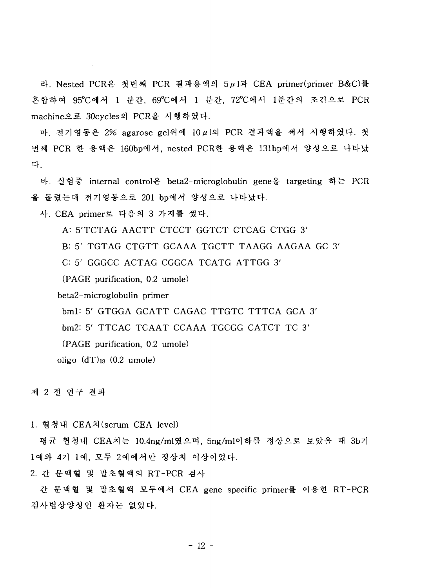라, Nested PCR은 첫번째 PCR 결과용액의 5µ1과 CEA primer(primer B&C)를 혼합하여 95°C에서 1 분간, 69°C에서 1 분간, 72°C에서 1분간의 조건으로 PCR machine으로 30cycles의 PCR을 시행하였다.

마. 전기영동은 2% agarose gel위에 10μ1의 PCR 결과액을 써서 시행하였다. 첫 번째 PCR 한 용액은 160bp에서, nested PCR한 용액은 131bp에서 양성으로 나타났 **4.**

바. 실험중 internal control은 beta2-microglobulin gene을 targeting 하는 PCR 올 돌렸는데 전기영동으로 201 bp에서 양성으로 나타났다.

사. CEA primer로 다음의 3 가지를 썼다.

A: 5'TCTAG AACTT CTCCT GGTCT CTCAG CTGG 3'

B: 5' TGTAG CTGTT GCAAA TGCTT TAAGG AAGAA GC 3'

C: 5' GGGCC ACTAG CGGCA TCATG ATTGG 3'

(PAGE purification, 0.2 umole)

beta2-microglobulin primer

bml: 5' GTGGA GCATT CAGAC TTGTC TTTCA GCA 3'

bm2: 5' TTCAC TCAAT CCAAA TGCGG CATCT TC 3'

(PAGE purification, 0.2 umole)

oligo  $(dT)_{18}$  (0.2 umole)

제 2 절 연구 결과

1. 혈청내 CEA치 (serum CEA level)

평균 혈청내 CEA치는 10.4ng/ml였으며, 5ng/ml이하를 정상으로 보았을 때 3b기 1예와 4기 1예, 모두 2예에서만 정상치 이상이었다.

2. 간 문맥혈 및 말초혈액의 RT-PCR 검사

간 문맥<mark>혈</mark> 및 말초혈액 모두에서 CEA gene specific primer를 이용한 RT-PCR 검사법상양성인 환자는 없었다.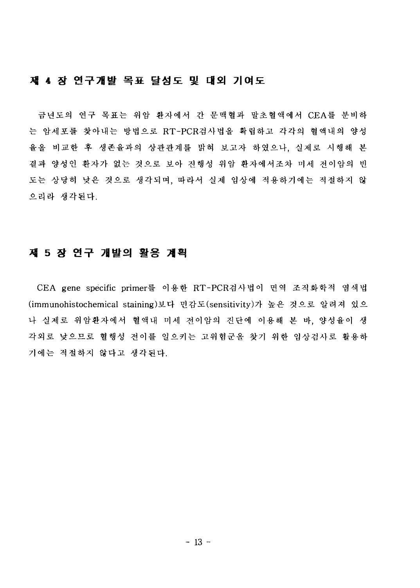#### 제 4 장 연구개발 목표 달성도 및 대외 기여도

금년도의 연구 목표는 위암 환자에서 간 문맥혈과 말초혈액에서 CEA를 분비하 는 암세포를 찾아내는 방법으로 RT-PCR검사법을 확립하고 각각의 혈액내의 양성 율을 비교한 후 생존율과의 상관관계를 밝혀 보고자 하였으나, 실제로 시행해 본 결과 양성인 환자가 없는 것으로 보아 진행성 위암 환자에서조차 미세 전이암의 빈 도는 상당히 낮은 것으로 생각되며, 따라서 실제 임상에 적용하기에는 적절하지 않 으리라 생각된다.

### 제 5 장 연구 개발의 활용 계획

CEA gene specific primer를 이용한 RT-PCR검사법이 면역 조직화학적 염색법 (immunohistochemical staining)보다 민감도(sensitivity)가 높은 것으로 알려져 있으 나 실제로 위암환자에서 혈액내 미세 전이암의 진단에 이용해 본 바. 양성율이 생 각외로 낮으므로 혈행성 전이를 일으키는 고위험군을 찾기 위한 임상검사로 활용하 기에는 적절하지 않다고 생각된다.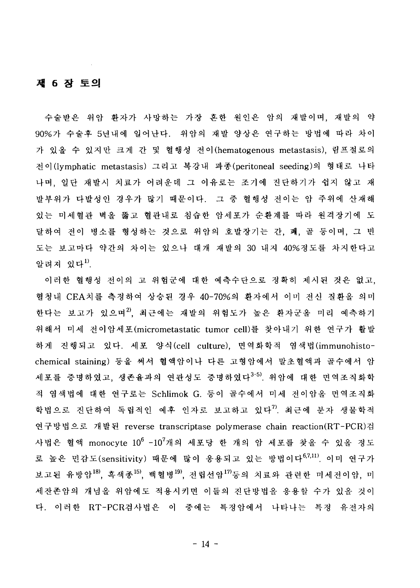#### 제 6 장 토의

수술받은 위암 환자가 사망하는 가장 혼한 원인은 암의 재발이며, 재발의 약 90%가 수술후 5년내에 일어난다. 위암의 재발 양상은 연구하는 방법에 따라 차이 가 있을 수 있지만 크게 간 및 혈행성 전이(hematogenous metastasis), 이(lymphatic metastasis) 그리고 복강내 파종(peritoneal seeding)의 나며, 일단 재발시 치료가 어려운데 그 이유로는 조기에 진단하기가 쉽지 않고 재 발부위가 다발성인 경우가 많기 때문이다. 그 중 혈행성 전이는 암 주위에 산재해 있는 미세혈관 벽을 뚫고 혈관내로 침습한 암세포가 순환계를 따라 원격장기에 도 달하여 전이 병소를 형성하는 것으로 위암의 호발장기는 간, 꽤, 골 등이며, 그 빈 도는 보고마다 약간의 차이는 있으나 대개 재발의 30 내지 40%정도를 차지한다고 알려져 있다<sup>1)</sup>.

이러한 혈행성 전이의 고 위험군에 대한 예측수단으로 정확히 제시된 것은 없고, 혈청내 CEA치를 측정하여 상승된 경우 40-70%의 환자에서 이미 전신 질환을 의미 한다는 보고가 있으며<sup>2)</sup>, 최근에는 재발의 위험도가 높은 환자군을 미리 예측하기 위해서 미세 전<mark>이암세포(micrometastatic tumor cell)를</mark> 찾아내기 위한 연구가 **활** 하게 진행되고 있다. 세포 양식(cell culture), 면역화학적 염색법(immunohistochemical staining) 등을 써서 혈액암이나 다른 고형암에서 말초혈액과 골수에서 암 세포를 증명하였고, 생존율과의 연관성도 증명하였다<sup>3-5)</sup>, 위암에 대한 면역조직화학 적 염색법에 대한 연구로는 Schlimok G. 등이 골수에서 미세 전이암을 면역조직화 학법으로 진단하여 독립적인 예후 인자로 보고하고 있다<sup>7)</sup>. 최근에 분자 생물학적 연구방법으로 개발된 reverse transcriptase polymerase chain reaction(RT-PCR)검 monocyte  $10^6$  - $10^7$ 로 높은 민감도(sensitivity) 때문에 많이 응용되고 있는 방법이다<sup>6,7,11)</sup> 이미 연구가 보고된 유방암<sup>18)</sup>, 흑색종<sup>15)</sup>, 백혈병<sup>19)</sup>, 전립선암<sup>17)</sup>등의 치료와 관련한 미세전이암, 미 세잔존암의 개념을 위암에도 적용시키면 이들의 진단방법을 응용할 수가 있을 것이 다. 이러한 RT-PCR검사법은 이 중에는 특정암에서 나타나는 특정 유전자의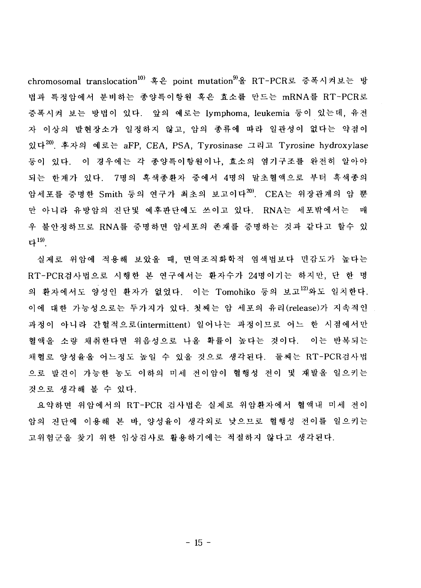chromosomal translocation<sup>10)</sup> 혹은 point mutation<sup>9)</sup>을 RT-PCR로 증폭시켜보는 방 법과 특정암에서 분비하는 종양특이항원 혹은 효소를 만드는 mRNA를 RT-PCR로 증폭시켜 보는 방법이 있다. 앞의 예로는 lymphoma, leukemia 등이 있는데, 유전 자 이상의 발현장소가 일정하지 않고, 암의 종류에 따라 일관성이 없다는 약점이 있다<sup>20)</sup>, 후자의 예로는 aFP, CEA, PSA, Tyrosinase 그리고 Tyrosine hydroxylase 등이 있다. 이 경우에는 각 종양특이항원이나, 효소의 염기구조를 완전히 알아야 되는 한계가 있다. 7명의 흑색종환자 중에서 4명의 말초혈액으로 부터 흑색종의 암세포를 증명한 Smith 등의 연구가 최초의 보고이다<sup>20)</sup>. CEA는 위장관계의 암 뿐 만 아니라 유방암의 진단및 예후판단에도 쓰이고 있다. RNA는 세포밖에서는 매 우 불안정하므로 RNA를 증명하면 암세포의 존재를 증명하는 것과 같다고 할수 있 다 $^{19}$ .

실제로 위암에 적용해 보았을 때, 면역조직화학적 염색법보다 민감도가 높다는 RT-PCR검사법으로 시행한 본 연구에서는 환자수가 24명이기는 하지만, 단 한 명 의 환자에서도 양성인 환자가 없었다. 이는 Tomohiko 등의 보고<sup>12)</sup>와도 일치한다. 이에 대한 가능성으로는 두가지가 있다. 첫째는 암 세포의 유리(release)가 지속적인 과정이 아니라 간헐적으로(intermittent) 일어나는 과정이므로 어느 한 시점에서만 혈액음 소량 채취한다면 위음성으로 나올 확률이 높다는 것이다. 이는 반복되는 채혈로 양성율을 어느정도 높일 수 있을 것으로 생각된다. 둘째는 RT-PCR검사법 으로 발견이 가능한 농도 이하의 미세 전이암이 혈행성 전이 및 재발을 일으키는 것으로 생각해 볼 수 있다.

요약하면 위암에서의 RT-PCR 검사법은 실제로 위암환자에서 혈액내 미세 전이 암의 진단에 이용해 본 바, 양성율이 생각외로 낮으므로 혈행성 전이를 일으키는 고위험군을 찾기 위한 임상검사로 활용하기에는 적절하지 않다고 생각된다.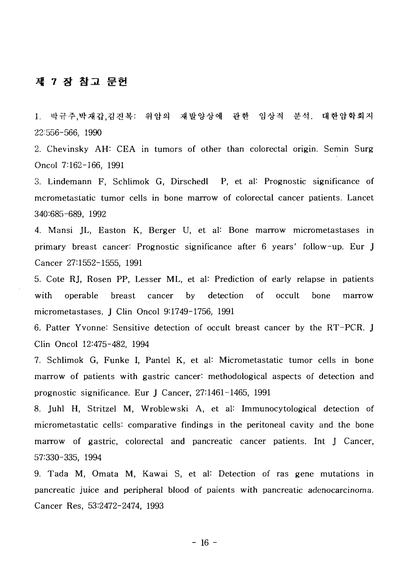#### 제 7 장 참고 문헌

 $1<sup>1</sup>$ 박규주,박재갑,김진복: 위암의 재발양상에 관한 임상적 분석. 대한암학회지 22:556-566, 1990

2. Chevinsky AH: CEA in tumors of other than colorectal origin. Semin Surg Oncol 7:162-166, 1991

3. Lindemann F, Schlimok G, Dirschedl P, et al: Prognostic significance of mcrometastatic tumor cells in bone marrow of colorectal cancer patients. Lancet 340:685-689, 1992

4. Mansi JL, Easton K, Berger U, et al: Bone marrow micrometastases in primary breast cancer: Prognostic significance after 6 years' follow-up. Eur J Cancer 27:1552-1555, 1991

5. Cote RJ, Rosen PP, Lesser ML, et al: Prediction of early relapse in patients with operable breast cancer by detection of occult bone marrow micrometastases. J Clin Oncol 9:1749-1756, 1991

6. Patter Yvonne: Sensitive detection of occult breast cancer by the RT-PCR. J Clin Oncol 12:475-482, 1994

7. Schlimok G, Funke I, Pantel K, et al: Micrometastatic tumor cells in bone marrow of patients with gastric cancer: methodological aspects of detection and prognostic significance. Eur J Cancer, 27:1461-1465, 1991

8. Juhl H, Stritzel M, Wroblewski A, et al: Immunocytological detection of micrometastatic cells: comparative findings in the peritoneal cavity and the bone marrow of gastric, colorectal and pancreatic cancer patients. Int J Cancer, 57:330-335, 1994

9. Tada M, Omata M, Kawai S, et al: Detection of ras gene mutations in pancreatic juice and peripheral blood of paients with pancreatic adenocarcinoma. Cancer Res, 53:2472-2474, 1993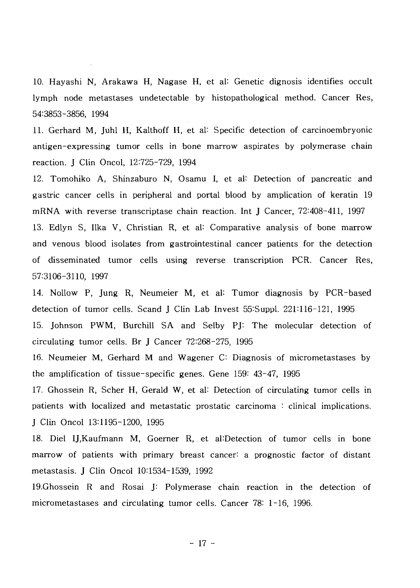10. Hayashi N, Arakawa H, Nagase H, et al: Genetic dignosis identifies occult lymph node metastases undetectable by histopathological method. Cancer Res, 54:3853-3856, 1994

11. Gerhard M, Juhl H, Kalthoff H, et al"- Specific detection of carcinoembryonic antigen-expressing tumor cells in bone marrow aspirates by polymerase chain reaction. J Clin Oncol, 12:725-729, 1994

12. Tomohiko A, Shinzaburo N, Osamu I, et al: Detection of pancreatic and gastric cancer cells in peripheral and portal blood by amplication of keratin 19 mRNA with reverse transcriptase chain reaction. Int J Cancer, 72:408-411, 1997 13. Edlyn S, Ilka V, Christian R, et al: Comparative analysis of bone marrow and venous blood isolates from gastrointestinal cancer patients for the detection of disseminated tumor cells using reverse transcription PCR. Cancer Res, 57:3106-3110, 1997

14. Nollow P, Jung R, Neumeier M, et al: Tumor diagnosis by PCR-based detection of tumor cells. Scand J Clin Lab Invest 55:Suppl. 221:116-121, 1995

15. Johnson PWM, Burchill SA and Selby PJ: The molecular detection of circulating tumor cells. Br J Cancer 72:268-275, 1995

16. Neumeier M, Gerhard M and Wagener C: Diagnosis of micrometastases by the amplification of tissue-specific genes. Gene 159: 43-47, 1995

17. Ghossein R, Scher H, Gerald W, et al: Detection of circulating tumor cells in patients with localized and metastatic prostatic carcinoma : clinical implications. J Clin Oncol 13:1195-1200, 1995

18. Diel IJ, Kaufmann M, Goerner R, et al: Detection of tumor cells in bone marrow of patients with primary breast cancer: a prognostic factor of distant metastasis. J Clin Oncol 101534-1539, 1992

19.Ghossein R and Rosai J: Polymerase chain reaction in the detection of micrometastases and circulating tumor cells. Cancer 78: 1-16, 1996.

- 17 -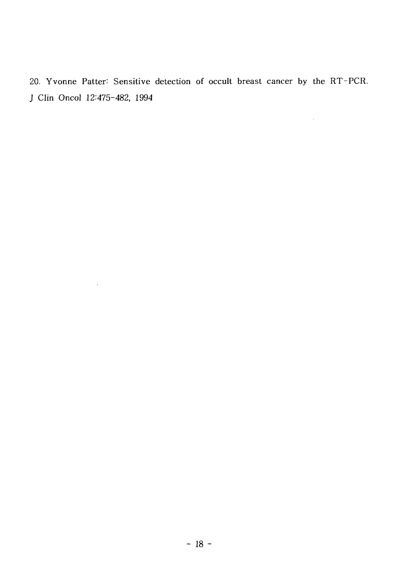20. Yvonne Patter: Sensitive detection of occult breast cancer by the RT-PCR. J Clin Oncol 12:475-482, 1994

 $\sim 10^{11}$  km s  $^{-1}$ 

 $\mathcal{L}^{\text{max}}_{\text{max}}$  and  $\mathcal{L}^{\text{max}}_{\text{max}}$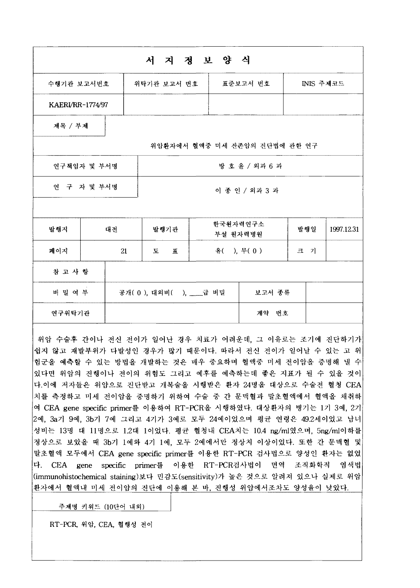|                         |             |                       | 서 지 정 보 양 식      |           |                               |     |            |
|-------------------------|-------------|-----------------------|------------------|-----------|-------------------------------|-----|------------|
| 수행기관 보고서번호              |             |                       | 위탁기관 보고서 번호      |           | 표준보고서 번호                      |     | INIS 주제코드  |
| <b>KAERI/RR-1774/97</b> |             |                       |                  |           |                               |     |            |
| 제목 / 부제                 |             |                       |                  |           |                               |     |            |
|                         |             |                       |                  |           | 위암환자에서 혈액중 미세 잔존암의 진단법에 관한 연구 |     |            |
|                         | 연구책임자 및 부서명 |                       |                  |           | 방호윤 / 외과 6 과                  |     |            |
|                         | 연 구 자 및 부서명 |                       |                  |           | 이 종 인 / 외과 3 과                |     |            |
|                         |             |                       |                  |           |                               |     |            |
| 발행지                     | 대전          |                       | 발행기관             | 부설 원자력병원  | 한국원자력연구소                      | 발행일 | 1997.12.31 |
| 페이지                     |             | 21                    | 도<br>$\mathbf H$ | 유(), 무(0) |                               | 크 기 |            |
| 참 고 사 항                 |             |                       |                  |           |                               |     |            |
| 비 밀 여 부                 |             | 공개(0), 대외비(), ___급 비밀 |                  |           | 보고서 종류                        |     |            |
| 연구위탁기관                  |             |                       |                  |           | 계약 번호                         |     |            |

위암 수술후 간이나 전신 전이가 일어난 경우 치료가 어려운데, 그 이유로는 조기에 진단하기가! 쉽지 않고 재발부위가 다발성인 경우가 많기 때문이다. 따라서 전신 전이가 일어날 수 있는 고 위 험군을 예측할 수 있는 방법을 개발하는 것은 매우 중요하며 혈액중 미세 전이암을 증명해 낼 수 있다면 위암의 진행이나 전이의 위험도 그리고 예후를 예측하는데 좋은 지표가 될 수 있을 것이 다.이에 저자들은 위암으로 진단받고 개복술을 시행받은 환자 24명을 대상으로 수술전 혈청 CEA 치를 측정하고 미세 전이암을 중명하기 위하여 수술 중 간 문맥혈과 말초혈액에서 혈액을 채취하 여 CEA gene specific primer를 이용하여 RT-PCR을 시행하였다. 대상환자의 병기는 1기 3예, 2기 2예, 3a기 9예, 3b기 7예 그리고 4기가 3예로 모두 24예이었으며 평균 연령은 49.2세이었고 남녀 성비는 13명 대 11명으로 1.2대 1이었다. 평균 혈청내 CEA치는 10.4 ng/ml였으며, 5ng/ml이하를 정상으로 보았을 때 3b기 1예와 4기 1예, 모두 2예에서만 정상치 이상이었다. 또한 간 문맥혈 및 말초혈액 모두에서 CEA gene specific primer를 이용한 RT-PCR 검사법으로 양성인 환자는 없었 다. CEA gene specific primer를 이용한 RT-PCR검사법이 면역 조직화학적 염색법 (immunohistochemical staining)보다 민감도(sensitivity)가 높은 것으로 알려져 있으나 실제로 위암 환자에서 혈액내 미세 전이암의 진단에 이용해 본 바, 진행성 위암에서조차도 양성율이 낮았다.

주제명 키워드 (10단어 내외)

RT-PCR, 위암, CEA, 혈행성 전이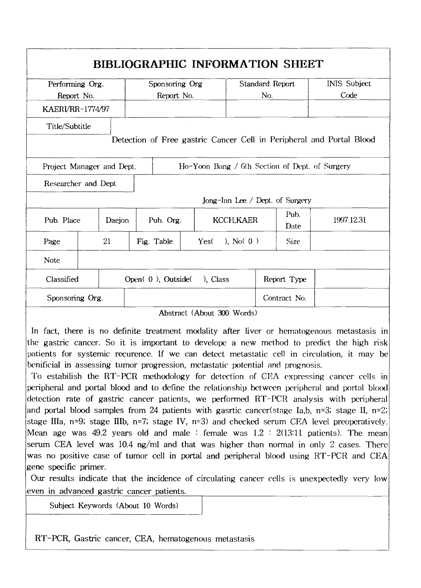| Performing Org.           |    | Sponsoring Org    |                                                | Standard Report                 |              | <b>INIS Subject</b>                                                  |  |
|---------------------------|----|-------------------|------------------------------------------------|---------------------------------|--------------|----------------------------------------------------------------------|--|
| Report No.                |    | Report No.        |                                                | No.                             |              | Code                                                                 |  |
| KAERI/RR-1774/97          |    |                   |                                                |                                 |              |                                                                      |  |
| Title/Subtitle            |    |                   |                                                |                                 |              | Detection of Free gastric Cancer Cell in Peripheral and Portal Blood |  |
| Project Manager and Dept. |    |                   | Ho-Yoon Bang / 6th Section of Dept. of Surgery |                                 |              |                                                                      |  |
| Researcher and Dept       |    |                   |                                                |                                 |              |                                                                      |  |
|                           |    |                   |                                                | Jong-Inn Lee / Dept. of Surgery |              |                                                                      |  |
| Pub. Place<br>Daejon      |    | Pub. Org.         |                                                | KCCH, KAER                      | Pub.<br>Date | 1997.12.31                                                           |  |
|                           |    |                   |                                                | ), $N_0(0)$                     | Size         |                                                                      |  |
| Page                      | 21 | Fig. Table        | Yes(                                           |                                 |              |                                                                      |  |
| Note                      |    |                   |                                                |                                 |              |                                                                      |  |
| Classified                |    | Open(0), Outside( | ). Class                                       |                                 | Report Type  |                                                                      |  |

In fact, there is no definite treatment modality after liver or hematogenous metastasis in the gastric cancer. So it is important to developc a new method to predict the high risk patients for systemic recurence. If we can detect metastatic cell in circulation, it may be benificial in assessing tumor progression, metastatic potential and prognosis.

To estabilish the RT-PCR methodology for detection of CEA expressing cancer cells in peripheral and portal blood and to define the relationship between peripheral and portal blood detection rate of gastric cancer patients, we performed RT-PCR analysis with peripheral and portal blood samples from 24 patients with gastric cancer(stage Ia,b, n=3; stage II, n=2; stage IIIa,  $n=9$ ; stage IIIb,  $n=7$ ; stage IV,  $n=3$ ) and checked serum CEA level preoperatively. Mean age was 49.2 years old and male : female was  $1.2 \div 2(13:11)$  patients). The mean serum CEA level was 10.4 ng/ml and that was higher than normal in only 2 cases. There was no positive case of tumor cell in portal and peripheral blood using RT-PCR and CEA gene specific primer.

Our results indicate that the incidence of circulating cancer cells is unexpectedly very low even in advanced gastric cancer patients.

Subject Keywords (About 10 Words)

RT-PCR, Gastric cancer, CEA, hematogenous metastasis